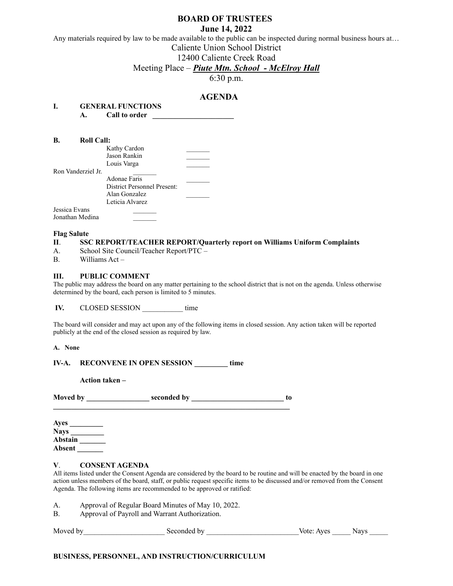## **BOARD OF TRUSTEES**

**June 14, 2022**

Any materials required by law to be made available to the public can be inspected during normal business hours at…

Caliente Union School District

12400 Caliente Creek Road

## Meeting Place – *Piute Mtn. School - McElroy Hall*

6:30 p.m.

# **AGENDA**

| I. |    | <b>GENERAL FUNCTIONS</b> |  |
|----|----|--------------------------|--|
|    | А. | Call to order            |  |

| B.<br><b>Roll Call:</b> |                                    |  |
|-------------------------|------------------------------------|--|
|                         | Kathy Cardon                       |  |
|                         | Jason Rankin                       |  |
|                         | Louis Varga                        |  |
| Ron Vanderziel Jr.      |                                    |  |
|                         | Adonae Faris                       |  |
|                         | <b>District Personnel Present:</b> |  |
|                         | Alan Gonzalez                      |  |
|                         | Leticia Alvarez                    |  |
| Jessica Evans           |                                    |  |
| Jonathan Medina         |                                    |  |

#### **Flag Salute**

#### **II**. **SSC REPORT/TEACHER REPORT/Quarterly report on Williams Uniform Complaints**

- A. School Site Council/Teacher Report/PTC –
- B. Williams Act –

## **III. PUBLIC COMMENT**

The public may address the board on any matter pertaining to the school district that is not on the agenda. Unless otherwise determined by the board, each person is limited to 5 minutes.

**IV.** CLOSED SESSION time

The board will consider and may act upon any of the following items in closed session. Any action taken will be reported publicly at the end of the closed session as required by law.

**A. None**

| IV-A. | <b>RECONVENE IN OPEN SESSION</b> |  |  |  | time |
|-------|----------------------------------|--|--|--|------|
|-------|----------------------------------|--|--|--|------|

**Action taken –**

| <b>Moved</b> by | seconded by |  |
|-----------------|-------------|--|
|                 |             |  |

| Ayes        |  |
|-------------|--|
| <b>Nays</b> |  |
| Abstain     |  |
| Absent      |  |

## **V**. **CONSENT AGENDA**

All items listed under the Consent Agenda are considered by the board to be routine and will be enacted by the board in one action unless members of the board, staff, or public request specific items to be discussed and/or removed from the Consent Agenda. The following items are recommended to be approved or ratified:

A. Approval of Regular Board Minutes of May 10, 2022.

B. Approval of Payroll and Warrant Authorization.

| Moved | Seconded<br>hv | Aves<br>יחיי ∋ | avs |
|-------|----------------|----------------|-----|
|-------|----------------|----------------|-----|

## **BUSINESS, PERSONNEL, AND INSTRUCTION/CURRICULUM**